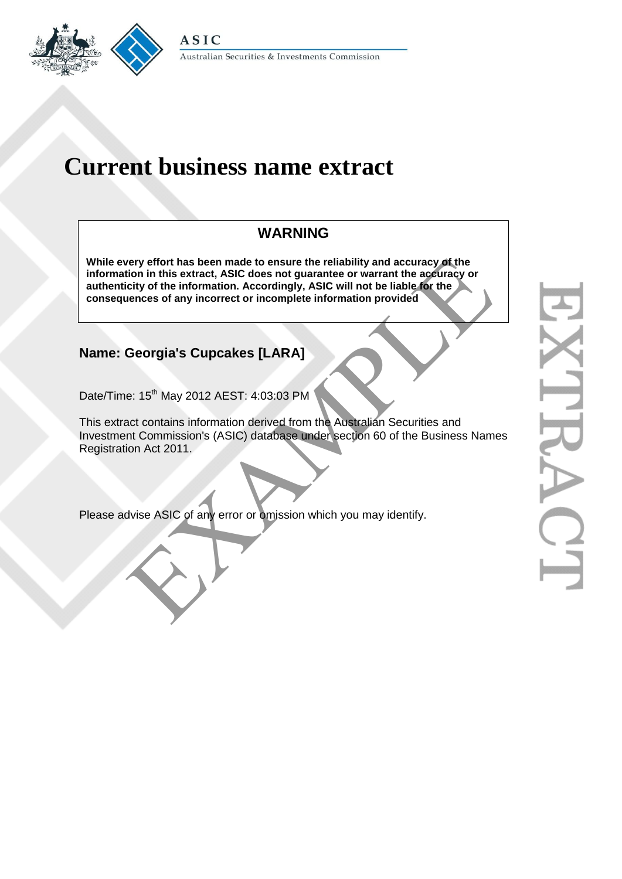

# **Current business name extract**

# **WARNING**

**While every effort has been made to ensure the reliability and accuracy of the information in this extract, ASIC does not guarantee or warrant the accuracy or authenticity of the information. Accordingly, ASIC will not be liable for the consequences of any incorrect or incomplete information provided** very effort has been made to ensure the reliability and accuracy of the<br>tion in this extract, ASIC does not guarantee or warrant the accuracy<br>citity of the information. Accordingly, ASIC will not be liable for the<br>vences o

## **Name: Georgia's Cupcakes [LARA]**

Date/Time: 15<sup>th</sup> May 2012 AEST: 4:03:03 PM

This extract contains information derived from the Australian Securities and Investment Commission's (ASIC) database under section 60 of the Business Names Registration Act 2011.

Please advise ASIC of any error or omission which you may identify.